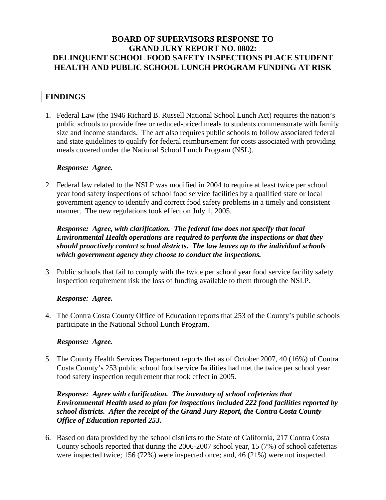# **BOARD OF SUPERVISORS RESPONSE TO GRAND JURY REPORT NO. 0802: DELINQUENT SCHOOL FOOD SAFETY INSPECTIONS PLACE STUDENT HEALTH AND PUBLIC SCHOOL LUNCH PROGRAM FUNDING AT RISK**

# **FINDINGS**

1. Federal Law (the 1946 Richard B. Russell National School Lunch Act) requires the nation's public schools to provide free or reduced-priced meals to students commensurate with family size and income standards. The act also requires public schools to follow associated federal and state guidelines to qualify for federal reimbursement for costs associated with providing meals covered under the National School Lunch Program (NSL).

### *Response: Agree.*

2. Federal law related to the NSLP was modified in 2004 to require at least twice per school year food safety inspections of school food service facilities by a qualified state or local government agency to identify and correct food safety problems in a timely and consistent manner. The new regulations took effect on July 1, 2005.

*Response: Agree, with clarification. The federal law does not specify that local Environmental Health operations are required to perform the inspections or that they should proactively contact school districts. The law leaves up to the individual schools which government agency they choose to conduct the inspections.* 

3. Public schools that fail to comply with the twice per school year food service facility safety inspection requirement risk the loss of funding available to them through the NSLP.

# *Response: Agree.*

4. The Contra Costa County Office of Education reports that 253 of the County's public schools participate in the National School Lunch Program.

#### *Response: Agree.*

5. The County Health Services Department reports that as of October 2007, 40 (16%) of Contra Costa County's 253 public school food service facilities had met the twice per school year food safety inspection requirement that took effect in 2005.

# *Response: Agree with clarification. The inventory of school cafeterias that Environmental Health used to plan for inspections included 222 food facilities reported by school districts. After the receipt of the Grand Jury Report, the Contra Costa County Office of Education reported 253.*

6. Based on data provided by the school districts to the State of California, 217 Contra Costa County schools reported that during the 2006-2007 school year, 15 (7%) of school cafeterias were inspected twice; 156 (72%) were inspected once; and, 46 (21%) were not inspected.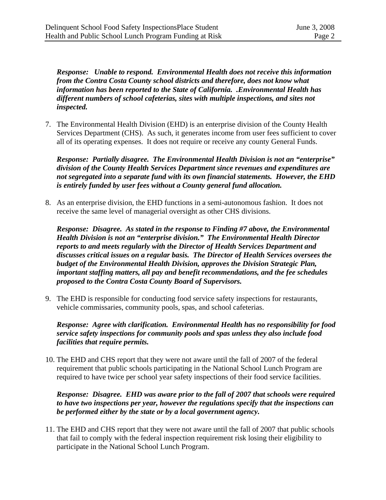*Response: Unable to respond. Environmental Health does not receive this information from the Contra Costa County school districts and therefore, does not know what information has been reported to the State of California. .Environmental Health has different numbers of school cafeterias, sites with multiple inspections, and sites not inspected.* 

7. The Environmental Health Division (EHD) is an enterprise division of the County Health Services Department (CHS). As such, it generates income from user fees sufficient to cover all of its operating expenses. It does not require or receive any county General Funds.

*Response: Partially disagree. The Environmental Health Division is not an "enterprise" division of the County Health Services Department since revenues and expenditures are not segregated into a separate fund with its own financial statements. However, the EHD is entirely funded by user fees without a County general fund allocation.* 

8. As an enterprise division, the EHD functions in a semi-autonomous fashion. It does not receive the same level of managerial oversight as other CHS divisions.

*Response: Disagree. As stated in the response to Finding #7 above, the Environmental Health Division is not an "enterprise division." The Environmental Health Director reports to and meets regularly with the Director of Health Services Department and discusses critical issues on a regular basis. The Director of Health Services oversees the budget of the Environmental Health Division, approves the Division Strategic Plan, important staffing matters, all pay and benefit recommendations, and the fee schedules proposed to the Contra Costa County Board of Supervisors.* 

9. The EHD is responsible for conducting food service safety inspections for restaurants, vehicle commissaries, community pools, spas, and school cafeterias.

*Response: Agree with clarification. Environmental Health has no responsibility for food service safety inspections for community pools and spas unless they also include food facilities that require permits.* 

10. The EHD and CHS report that they were not aware until the fall of 2007 of the federal requirement that public schools participating in the National School Lunch Program are required to have twice per school year safety inspections of their food service facilities.

### *Response: Disagree. EHD was aware prior to the fall of 2007 that schools were required to have two inspections per year, however the regulations specify that the inspections can be performed either by the state or by a local government agency.*

11. The EHD and CHS report that they were not aware until the fall of 2007 that public schools that fail to comply with the federal inspection requirement risk losing their eligibility to participate in the National School Lunch Program.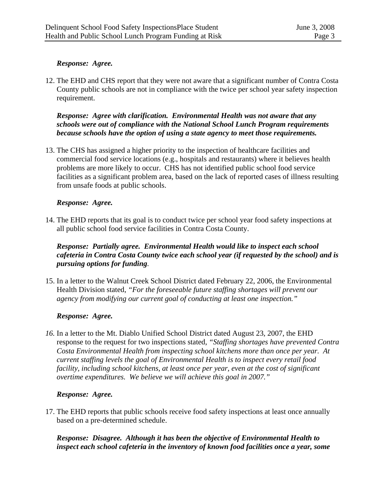### *Response: Agree.*

12. The EHD and CHS report that they were not aware that a significant number of Contra Costa County public schools are not in compliance with the twice per school year safety inspection requirement.

### *Response: Agree with clarification. Environmental Health was not aware that any schools were out of compliance with the National School Lunch Program requirements because schools have the option of using a state agency to meet those requirements.*

13. The CHS has assigned a higher priority to the inspection of healthcare facilities and commercial food service locations (e.g., hospitals and restaurants) where it believes health problems are more likely to occur. CHS has not identified public school food service facilities as a significant problem area, based on the lack of reported cases of illness resulting from unsafe foods at public schools.

#### *Response: Agree.*

14. The EHD reports that its goal is to conduct twice per school year food safety inspections at all public school food service facilities in Contra Costa County.

### *Response: Partially agree. Environmental Health would like to inspect each school cafeteria in Contra Costa County twice each school year (if requested by the school) and is pursuing options for funding.*

15. In a letter to the Walnut Creek School District dated February 22, 2006, the Environmental Health Division stated, *"For the foreseeable future staffing shortages will prevent our agency from modifying our current goal of conducting at least one inspection."*

#### *Response: Agree.*

*16.* In a letter to the Mt. Diablo Unified School District dated August 23, 2007, the EHD response to the request for two inspections stated, *"Staffing shortages have prevented Contra Costa Environmental Health from inspecting school kitchens more than once per year. At current staffing levels the goal of Environmental Health is to inspect every retail food facility, including school kitchens, at least once per year, even at the cost of significant overtime expenditures. We believe we will achieve this goal in 2007."* 

#### *Response: Agree.*

17. The EHD reports that public schools receive food safety inspections at least once annually based on a pre-determined schedule.

*Response: Disagree. Although it has been the objective of Environmental Health to inspect each school cafeteria in the inventory of known food facilities once a year, some*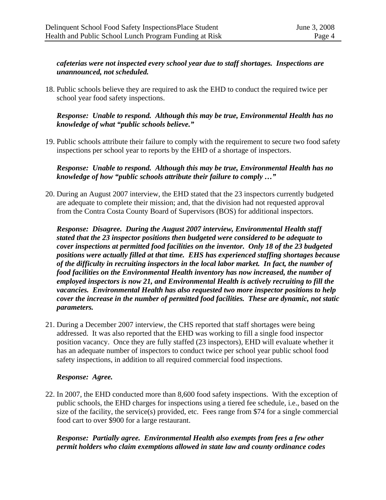# *cafeterias were not inspected every school year due to staff shortages. Inspections are unannounced, not scheduled.*

18. Public schools believe they are required to ask the EHD to conduct the required twice per school year food safety inspections.

### *Response: Unable to respond. Although this may be true, Environmental Health has no knowledge of what "public schools believe."*

19. Public schools attribute their failure to comply with the requirement to secure two food safety inspections per school year to reports by the EHD of a shortage of inspectors.

*Response: Unable to respond. Although this may be true, Environmental Health has no knowledge of how "public schools attribute their failure to comply …"* 

20. During an August 2007 interview, the EHD stated that the 23 inspectors currently budgeted are adequate to complete their mission; and, that the division had not requested approval from the Contra Costa County Board of Supervisors (BOS) for additional inspectors.

*Response: Disagree. During the August 2007 interview, Environmental Health staff stated that the 23 inspector positions then budgeted were considered to be adequate to cover inspections at permitted food facilities on the inventor. Only 18 of the 23 budgeted positions were actually filled at that time. EHS has experienced staffing shortages because of the difficulty in recruiting inspectors in the local labor market. In fact, the number of food facilities on the Environmental Health inventory has now increased, the number of employed inspectors is now 21, and Environmental Health is actively recruiting to fill the vacancies. Environmental Health has also requested two more inspector positions to help cover the increase in the number of permitted food facilities. These are dynamic, not static parameters.* 

21. During a December 2007 interview, the CHS reported that staff shortages were being addressed. It was also reported that the EHD was working to fill a single food inspector position vacancy. Once they are fully staffed (23 inspectors), EHD will evaluate whether it has an adequate number of inspectors to conduct twice per school year public school food safety inspections, in addition to all required commercial food inspections.

#### *Response: Agree.*

22. In 2007, the EHD conducted more than 8,600 food safety inspections. With the exception of public schools, the EHD charges for inspections using a tiered fee schedule, i.e., based on the size of the facility, the service(s) provided, etc. Fees range from \$74 for a single commercial food cart to over \$900 for a large restaurant.

# *Response: Partially agree. Environmental Health also exempts from fees a few other permit holders who claim exemptions allowed in state law and county ordinance codes*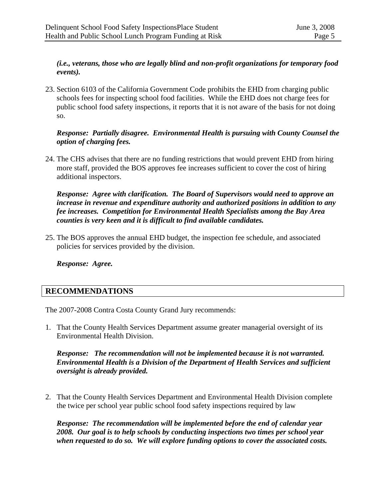# *(i.e., veterans, those who are legally blind and non-profit organizations for temporary food events).*

23. Section 6103 of the California Government Code prohibits the EHD from charging public schools fees for inspecting school food facilities. While the EHD does not charge fees for public school food safety inspections, it reports that it is not aware of the basis for not doing so.

# *Response: Partially disagree. Environmental Health is pursuing with County Counsel the option of charging fees.*

24. The CHS advises that there are no funding restrictions that would prevent EHD from hiring more staff, provided the BOS approves fee increases sufficient to cover the cost of hiring additional inspectors.

*Response: Agree with clarification. The Board of Supervisors would need to approve an increase in revenue and expenditure authority and authorized positions in addition to any fee increases. Competition for Environmental Health Specialists among the Bay Area counties is very keen and it is difficult to find available candidates.* 

25. The BOS approves the annual EHD budget, the inspection fee schedule, and associated policies for services provided by the division.

*Response: Agree.* 

# **RECOMMENDATIONS**

The 2007-2008 Contra Costa County Grand Jury recommends:

1. That the County Health Services Department assume greater managerial oversight of its Environmental Health Division.

*Response: The recommendation will not be implemented because it is not warranted. Environmental Health is a Division of the Department of Health Services and sufficient oversight is already provided.* 

2. That the County Health Services Department and Environmental Health Division complete the twice per school year public school food safety inspections required by law

*Response: The recommendation will be implemented before the end of calendar year 2008. Our goal is to help schools by conducting inspections two times per school year when requested to do so. We will explore funding options to cover the associated costs.*